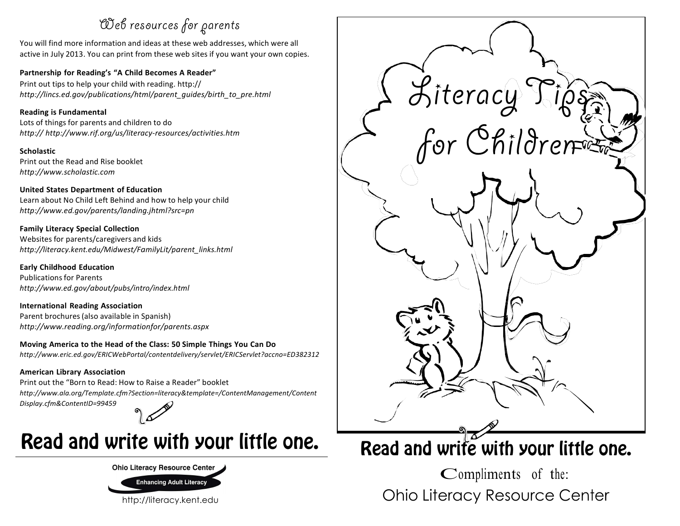# Web resources for parents

You will find more information and ideas at these web addresses, which were all active in July 2013. You can print from these web sites if you want your own copies.

### **Partnership for Reading's "A Child Becomes A Reader"**

Print out tips to help your child with reading. http:// *http://lincs.ed.gov/publications/html/parent\_guides/birth\_to\_pre.html*

# **Reading is Fundamental**

Lots of things for parents and children to do *http:// http://www.rif.org/us/literacy-resources/activities.htm*

## **Scholastic**

Print out the Read and Rise booklet *http://www.scholastic.com*

**United States Department of Education** Learn about No Child Left Behind and how to help your child *http://www.ed.gov/parents/landing.jhtml?src=pn*

**Family Literacy Special Collection** Websites for parents/caregivers and kids *http://literacy.kent.edu/Midwest/FamilyLit/parent\_links.html*

**Early Childhood Education** Publications for Parents *http://www.ed.gov/about/pubs/intro/index.html*

**International Reading Association** Parent brochures (also available in Spanish) *http://www.reading.org/informationfor/parents.aspx* 

**Moving America to the Head of the Class: 50 Simple Things You Can Do** *http://www.eric.ed.gov/ERICWebPortal/contentdelivery/servlet/ERICServlet?accno=ED382312*

# **American Library Association**

Print out the "Born to Read: How to Raise a Reader" booklet *http://www.ala.org/Template.cfm?Section=literacy&template=/ContentManagement/Content*

*Display.cfm&ContentID=99459*



# Read and write with your little one.





http://literacy.kent.edu



Read and write with your little one.

 Compliments of the: Ohio Literacy Resource Center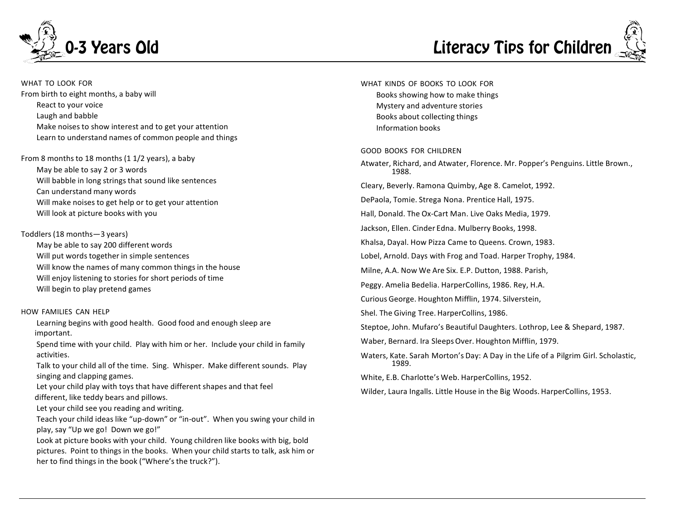



WHAT TO LOOK FOR From birth to eight months, a baby will React to your voice Laugh and babble Make noises to show interest and to get your attention Learn to understand names of common people and things

From 8 months to 18 months (1  $1/2$  years), a baby May be able to say 2 or 3 words Will babble in long strings that sound like sentences Can understand many words Will make noises to get help or to get your attention Will look at picture books with you

Toddlers (18 months—3 years) May be able to say 200 different words Will put words together in simple sentences Will know the names of many common things in the house Will enjoy listening to stories for short periods of time Will begin to play pretend games

#### HOW FAMILIES CAN HELP

Learning begins with good health. Good food and enough sleep are important.

Spend time with your child. Play with him or her. Include your child in family activities.

Talk to your child all of the time. Sing. Whisper. Make different sounds. Play singing and clapping games.

Let your child play with toys that have different shapes and that feel different, like teddy bears and pillows.

Let your child see you reading and writing.

Teach your child ideas like "up-down" or "in-out". When you swing your child in play, say "Up we go! Down we go!"

Look at picture books with your child. Young children like books with big, bold pictures. Point to things in the books. When your child starts to talk, ask him or her to find things in the book ("Where's the truck?").

WHAT KINDS OF BOOKS TO LOOK FOR Books showing how to make things Mystery and adventure stories Books about collecting things Information books

GOOD BOOKS FOR CHILDREN

Atwater, Richard, and Atwater, Florence. Mr. Popper's Penguins. Little Brown., 1988.

Cleary, Beverly. Ramona Quimby, Age 8. Camelot, 1992. 

DePaola, Tomie. Strega Nona. Prentice Hall, 1975.

Hall, Donald. The Ox-Cart Man. Live Oaks Media, 1979. 

Jackson, Ellen. Cinder Edna. Mulberry Books, 1998. 

Khalsa, Dayal. How Pizza Came to Queens. Crown, 1983.

Lobel, Arnold. Days with Frog and Toad. Harper Trophy, 1984.

Milne, A.A. Now We Are Six. E.P. Dutton, 1988. Parish,

Peggy. Amelia Bedelia. HarperCollins, 1986. Rey, H.A. 

Curious George. Houghton Mifflin, 1974. Silverstein,

Shel. The Giving Tree. HarperCollins, 1986.

Steptoe, John. Mufaro's Beautiful Daughters. Lothrop, Lee & Shepard, 1987.

Waber, Bernard. Ira Sleeps Over. Houghton Mifflin, 1979.

Waters, Kate. Sarah Morton's Day: A Day in the Life of a Pilgrim Girl. Scholastic, 1989.

White, E.B. Charlotte's Web. HarperCollins, 1952.

Wilder, Laura Ingalls. Little House in the Big Woods. HarperCollins, 1953.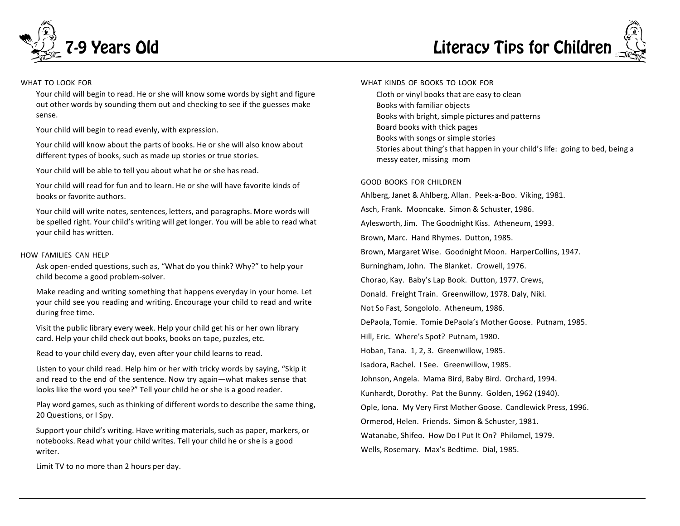



#### WHAT TO LOOK FOR

Your child will begin to read. He or she will know some words by sight and figure out other words by sounding them out and checking to see if the guesses make sense.

Your child will begin to read evenly, with expression.

Your child will know about the parts of books. He or she will also know about different types of books, such as made up stories or true stories.

Your child will be able to tell you about what he or she has read.

Your child will read for fun and to learn. He or she will have favorite kinds of books or favorite authors.

Your child will write notes, sentences, letters, and paragraphs. More words will be spelled right. Your child's writing will get longer. You will be able to read what your child has written.

#### HOW FAMILIES CAN HELP

Ask open-ended questions, such as, "What do you think? Why?" to help your child become a good problem-solver.

Make reading and writing something that happens everyday in your home. Let your child see you reading and writing. Encourage your child to read and write during free time.

Visit the public library every week. Help your child get his or her own library card. Help your child check out books, books on tape, puzzles, etc.

Read to your child every day, even after your child learns to read.

Listen to your child read. Help him or her with tricky words by saying, "Skip it and read to the end of the sentence. Now try again—what makes sense that looks like the word you see?" Tell your child he or she is a good reader.

Play word games, such as thinking of different words to describe the same thing, 20 Questions, or I Spy.

Support your child's writing. Have writing materials, such as paper, markers, or notebooks. Read what your child writes. Tell your child he or she is a good writer.

Limit TV to no more than 2 hours per day.

#### WHAT KINDS OF BOOKS TO LOOK FOR

Cloth or vinyl books that are easy to clean Books with familiar objects Books with bright, simple pictures and patterns Board books with thick pages Books with songs or simple stories Stories about thing's that happen in your child's life: going to bed, being a messy eater, missing mom

#### GOOD BOOKS FOR CHILDREN

Ahlberg, Janet & Ahlberg, Allan. Peek-a-Boo. Viking, 1981. Asch, Frank. Mooncake. Simon & Schuster, 1986. Aylesworth, Jim. The Goodnight Kiss. Atheneum, 1993. Brown, Marc. Hand Rhymes. Dutton, 1985. Brown, Margaret Wise. Goodnight Moon. HarperCollins, 1947. Burningham, John. The Blanket. Crowell, 1976. Chorao, Kay. Baby's Lap Book. Dutton, 1977. Crews, Donald. Freight Train. Greenwillow, 1978. Daly, Niki. Not So Fast, Songololo. Atheneum, 1986. DePaola, Tomie. Tomie DePaola's Mother Goose. Putnam, 1985. Hill, Eric. Where's Spot? Putnam, 1980. Hoban, Tana. 1, 2, 3. Greenwillow, 1985. Isadora, Rachel. I See. Greenwillow, 1985. Johnson, Angela. Mama Bird, Baby Bird. Orchard, 1994. Kunhardt, Dorothy. Pat the Bunny. Golden, 1962 (1940). Ople, Iona. My Very First Mother Goose. Candlewick Press, 1996. Ormerod, Helen. Friends. Simon & Schuster, 1981. Watanabe, Shifeo. How Do I Put It On? Philomel, 1979. Wells, Rosemary. Max's Bedtime. Dial, 1985.